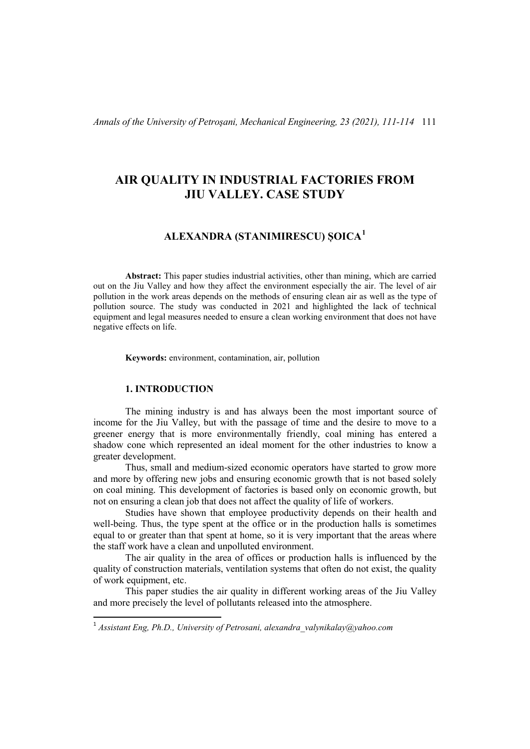*Annals of the University of Petroşani, Mechanical Engineering, 23 (2021), 111-114* 111

# **AIR QUALITY IN INDUSTRIAL FACTORIES FROM JIU VALLEY. CASE STUDY**

## **ALEXANDRA (STANIMIRESCU) ȘOICA[1](#page-0-0)**

**Abstract:** This paper studies industrial activities, other than mining, which are carried out on the Jiu Valley and how they affect the environment especially the air. The level of air pollution in the work areas depends on the methods of ensuring clean air as well as the type of pollution source. The study was conducted in 2021 and highlighted the lack of technical equipment and legal measures needed to ensure a clean working environment that does not have negative effects on life.

**Keywords:** environment, contamination, air, pollution

### **1. INTRODUCTION**

The mining industry is and has always been the most important source of income for the Jiu Valley, but with the passage of time and the desire to move to a greener energy that is more environmentally friendly, coal mining has entered a shadow cone which represented an ideal moment for the other industries to know a greater development.

Thus, small and medium-sized economic operators have started to grow more and more by offering new jobs and ensuring economic growth that is not based solely on coal mining. This development of factories is based only on economic growth, but not on ensuring a clean job that does not affect the quality of life of workers.

Studies have shown that employee productivity depends on their health and well-being. Thus, the type spent at the office or in the production halls is sometimes equal to or greater than that spent at home, so it is very important that the areas where the staff work have a clean and unpolluted environment.

The air quality in the area of offices or production halls is influenced by the quality of construction materials, ventilation systems that often do not exist, the quality of work equipment, etc.

This paper studies the air quality in different working areas of the Jiu Valley and more precisely the level of pollutants released into the atmosphere.

<span id="page-0-0"></span> <sup>1</sup> *Assistant Eng, Ph.D., University of Petrosani, alexandra\_valynikalay@yahoo.com*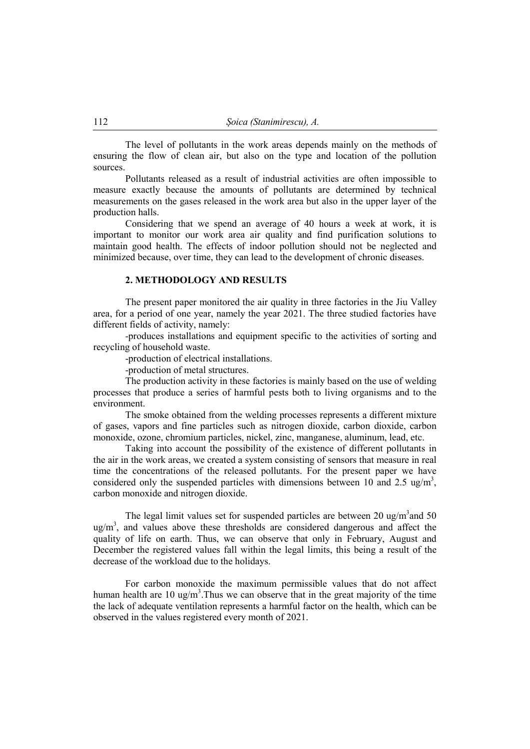The level of pollutants in the work areas depends mainly on the methods of ensuring the flow of clean air, but also on the type and location of the pollution sources.

Pollutants released as a result of industrial activities are often impossible to measure exactly because the amounts of pollutants are determined by technical measurements on the gases released in the work area but also in the upper layer of the production halls.

Considering that we spend an average of 40 hours a week at work, it is important to monitor our work area air quality and find purification solutions to maintain good health. The effects of indoor pollution should not be neglected and minimized because, over time, they can lead to the development of chronic diseases.

#### **2. METHODOLOGY AND RESULTS**

The present paper monitored the air quality in three factories in the Jiu Valley area, for a period of one year, namely the year 2021. The three studied factories have different fields of activity, namely:

-produces installations and equipment specific to the activities of sorting and recycling of household waste.

-production of electrical installations.

-production of metal structures.

The production activity in these factories is mainly based on the use of welding processes that produce a series of harmful pests both to living organisms and to the environment.

The smoke obtained from the welding processes represents a different mixture of gases, vapors and fine particles such as nitrogen dioxide, carbon dioxide, carbon monoxide, ozone, chromium particles, nickel, zinc, manganese, aluminum, lead, etc.

Taking into account the possibility of the existence of different pollutants in the air in the work areas, we created a system consisting of sensors that measure in real time the concentrations of the released pollutants. For the present paper we have considered only the suspended particles with dimensions between 10 and 2.5 ug/m<sup>3</sup>, carbon monoxide and nitrogen dioxide.

The legal limit values set for suspended particles are between 20 ug/m<sup>3</sup> and 50  $ug/m<sup>3</sup>$ , and values above these thresholds are considered dangerous and affect the quality of life on earth. Thus, we can observe that only in February, August and December the registered values fall within the legal limits, this being a result of the decrease of the workload due to the holidays.

For carbon monoxide the maximum permissible values that do not affect human health are 10 ug/m<sup>3</sup>. Thus we can observe that in the great majority of the time the lack of adequate ventilation represents a harmful factor on the health, which can be observed in the values registered every month of 2021.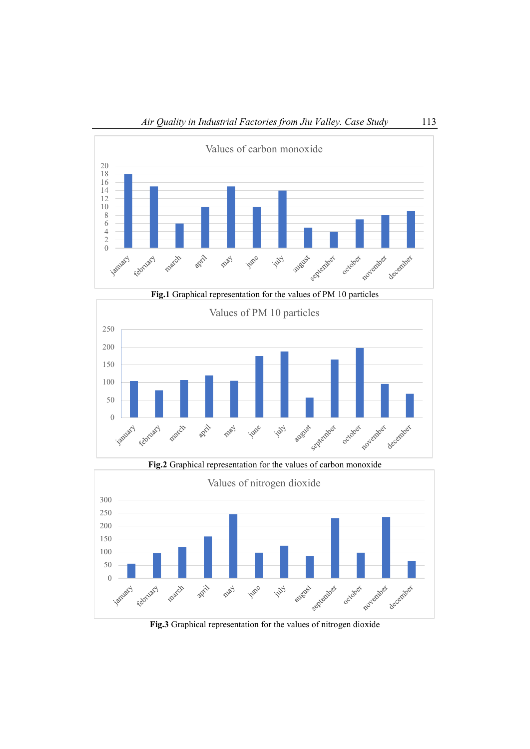



**Fig.2** Graphical representation for the values of carbon monoxide Values of nitrogen dioxide300 250 200 150 100 50 o -Scotlandox october **Applember** apil PROV **July** december February march June august

**Fig.3** Graphical representation for the values of nitrogen dioxide